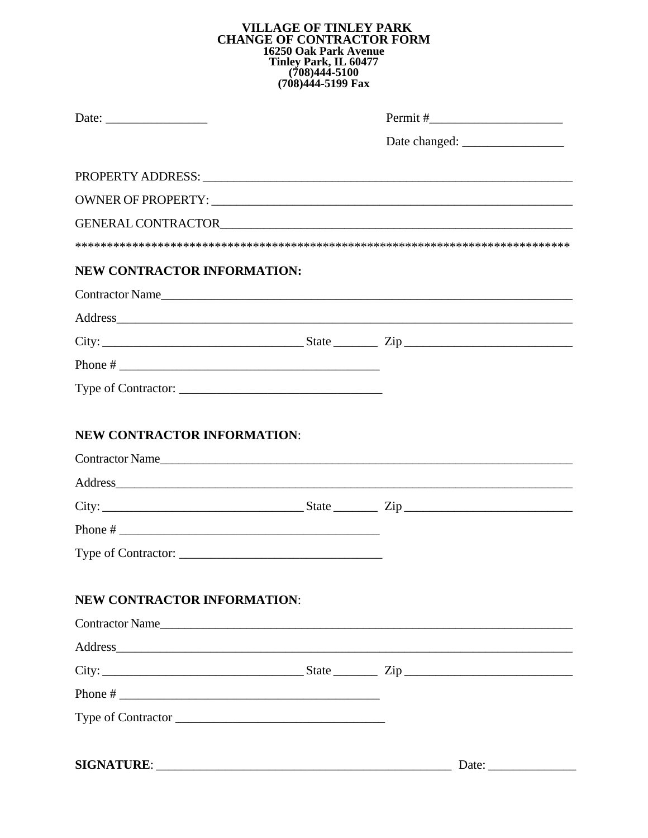## VILLAGE OF TINLEY PARK<br>CHANGE OF CONTRACTOR FORM **16250 Oak Park Avenue<br>
Tinley Park, IL 60477<br>
(708)444-5100<br>
(708)444-5199 Fax**

|                                    | PROPERTY ADDRESS: North American Contract Contract Contract Contract Contract Contract Contract Contract Contract Contract Contract Contract Contract Contract Contract Contract Contract Contract Contract Contract Contract  |
|------------------------------------|--------------------------------------------------------------------------------------------------------------------------------------------------------------------------------------------------------------------------------|
|                                    |                                                                                                                                                                                                                                |
|                                    |                                                                                                                                                                                                                                |
| <b>NEW CONTRACTOR INFORMATION:</b> |                                                                                                                                                                                                                                |
|                                    | Contractor Name                                                                                                                                                                                                                |
|                                    | Address and the state of the state of the state of the state of the state of the state of the state of the state of the state of the state of the state of the state of the state of the state of the state of the state of th |
|                                    | $City:$ $City:$ $Zip$ $Step$ $Zip$                                                                                                                                                                                             |
|                                    |                                                                                                                                                                                                                                |
|                                    |                                                                                                                                                                                                                                |
| Contractor Name                    |                                                                                                                                                                                                                                |
| Phone # $\overline{\phantom{a}}$   |                                                                                                                                                                                                                                |
|                                    |                                                                                                                                                                                                                                |
| <b>NEW CONTRACTOR INFORMATION:</b> |                                                                                                                                                                                                                                |
| Contractor Name                    |                                                                                                                                                                                                                                |
|                                    |                                                                                                                                                                                                                                |
|                                    |                                                                                                                                                                                                                                |
|                                    |                                                                                                                                                                                                                                |
| Type of Contractor                 |                                                                                                                                                                                                                                |
| <b>SIGNATURE:</b>                  | Date:                                                                                                                                                                                                                          |